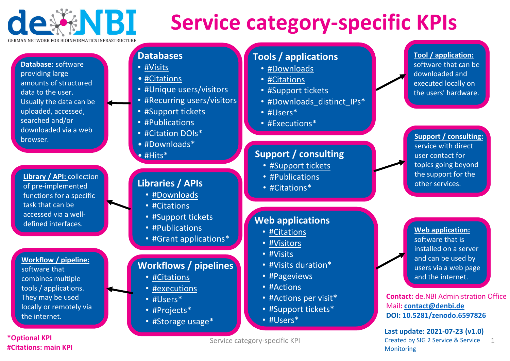

# **Service category ‐specific KPIs**

**Database:** software providing large amounts of structureddata to the user. Usually the data can be uploaded, accessed, searched and/or downloaded via a webbrowser.

**Library / API:** collection of pre‐implemented functions for <sup>a</sup> specific task that can be accessed via a welldefined interfaces.

## **Workflow / pipeline:** software that combines multiple tools / applications.

They may be used locally or remotely via the internet.

### **\*Optional KPI #Citations: main KPI**

# **Databases**

- #Visits
- #Citations
- #Unique users/visitors
- #Recurring users/visitors
- #Support tickets
- #Publications
- #Citation DOIs\*
- #Downloads\*
- #Hits\*

# **Libraries / APIs**

- #Downloads
- #Citations
- #Support tickets
- #Publications
- #Grant applications\*

# **Workflows / pipelines**

- #Citations
- #executions
- #Users\*
- #Projects\*
- #Storage usage\*

## **Tools / applications**

- #Downloads
- #Citations
- #Support tickets
- #Downloads\_distinct\_IPs\*
- #Users\*
- #Executions\*

# **Support / consulting**

- **#Support tickets**
- #Publications
- #Citations\*

# **Web applications**

- #Citations
- #Visitors
- #Visits
- #Visits duration\*
- #Pageviews
- #Actions
- #Actions per visit\*
- #Support tickets\*
- #Users\*

#### **Tool / application:** software that can be

downloaded andexecuted locally on the users' hardware.

### **Support / consulting:** service with direct user contact for topics going beyond the support for the other services.

**Web application:** software that isinstalled on a server and can be used by users via a web page and the internet.

**Contact:** de.NBI Administration Office Mail**: contact@denbi.de DOI: 10.5281/zenodo.6597826**

**Last update: 2021‐07‐23 (v1.0)** Created by SIG 2 Service & Service Monitoring 1